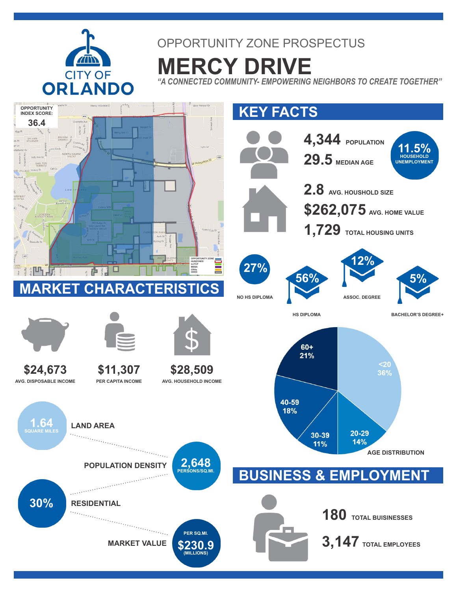

## OPPORTUNITY ZONE PROSPECTUS

**MERCY DRIVE** *"A CONNECTED COMMUNITY- EMPOWERING NEIGHBORS TO CREATE TOGETHER"*